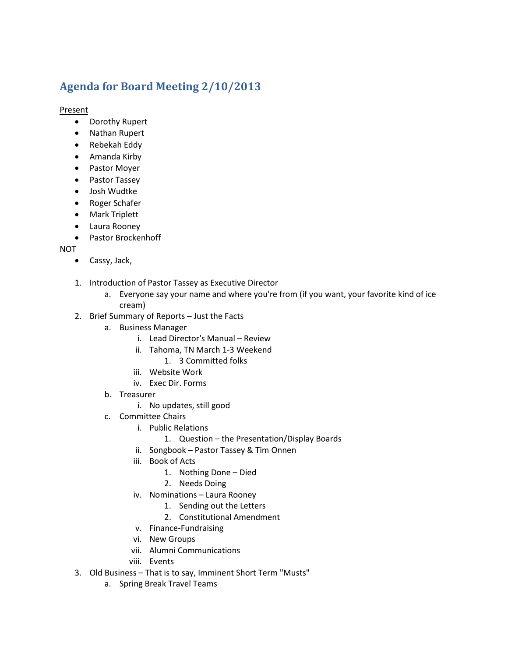## **Agenda for Board Meeting 2/10/2013**

**Present** 

- Dorothy Rupert
- Nathan Rupert
- Rebekah Eddy
- Amanda Kirby
- Pastor Moyer
- Pastor Tassey
- Josh Wudtke
- Roger Schafer
- Mark Triplett
- Laura Rooney
- Pastor Brockenhoff

NOT

- Cassy, Jack,
- 1. Introduction of Pastor Tassey as Executive Director
	- a. Everyone say your name and where you're from (if you want, your favorite kind of ice cream)
- 2. Brief Summary of Reports Just the Facts
	- a. Business Manager
		- i. Lead Director's Manual Review
		- ii. Tahoma, TN March 1-3 Weekend
			- 1. 3 Committed folks
		- iii. Website Work
		- iv. Exec Dir. Forms
	- b. Treasurer
		- i. No updates, still good
	- c. Committee Chairs
		- i. Public Relations
			- 1. Question the Presentation/Display Boards
		- ii. Songbook Pastor Tassey & Tim Onnen
		- iii. Book of Acts
			- 1. Nothing Done Died
			- 2. Needs Doing
		- iv. Nominations Laura Rooney
			- 1. Sending out the Letters
			- 2. Constitutional Amendment
		- v. Finance-Fundraising
		- vi. New Groups
		- vii. Alumni Communications
		- viii. Events
- 3. Old Business That is to say, Imminent Short Term "Musts"
	- a. Spring Break Travel Teams